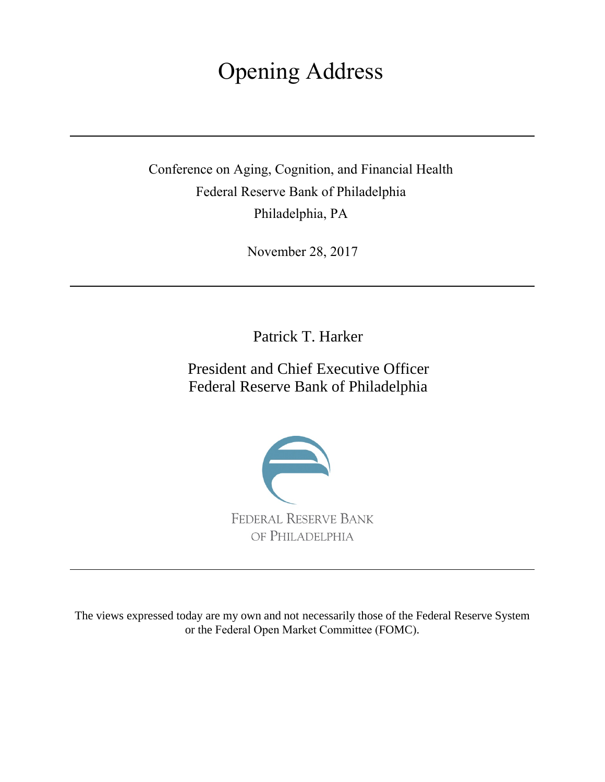## Opening Address

Conference on Aging, Cognition, and Financial Health Federal Reserve Bank of Philadelphia Philadelphia, PA

November 28, 2017

Patrick T. Harker

President and Chief Executive Officer Federal Reserve Bank of Philadelphia



The views expressed today are my own and not necessarily those of the Federal Reserve System or the Federal Open Market Committee (FOMC).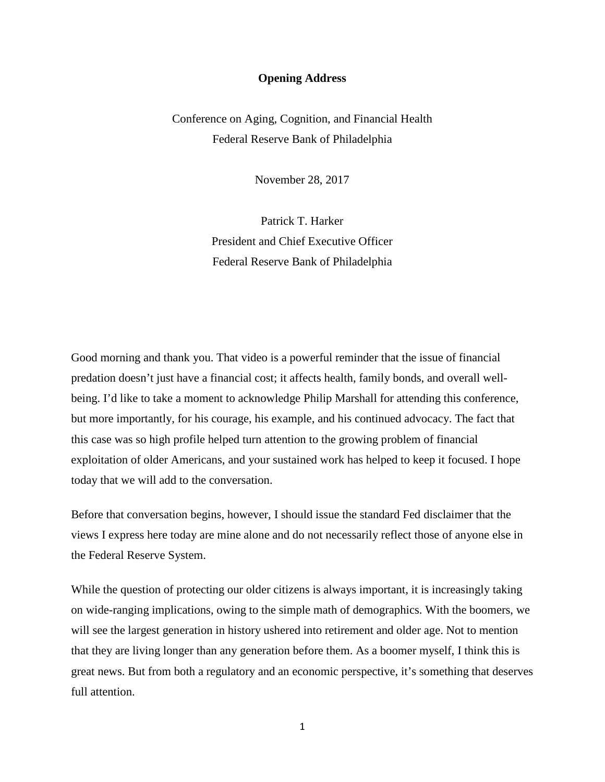## **Opening Address**

Conference on Aging, Cognition, and Financial Health Federal Reserve Bank of Philadelphia

November 28, 2017

Patrick T. Harker President and Chief Executive Officer Federal Reserve Bank of Philadelphia

Good morning and thank you. That video is a powerful reminder that the issue of financial predation doesn't just have a financial cost; it affects health, family bonds, and overall wellbeing. I'd like to take a moment to acknowledge Philip Marshall for attending this conference, but more importantly, for his courage, his example, and his continued advocacy. The fact that this case was so high profile helped turn attention to the growing problem of financial exploitation of older Americans, and your sustained work has helped to keep it focused. I hope today that we will add to the conversation.

Before that conversation begins, however, I should issue the standard Fed disclaimer that the views I express here today are mine alone and do not necessarily reflect those of anyone else in the Federal Reserve System.

While the question of protecting our older citizens is always important, it is increasingly taking on wide-ranging implications, owing to the simple math of demographics. With the boomers, we will see the largest generation in history ushered into retirement and older age. Not to mention that they are living longer than any generation before them. As a boomer myself, I think this is great news. But from both a regulatory and an economic perspective, it's something that deserves full attention.

1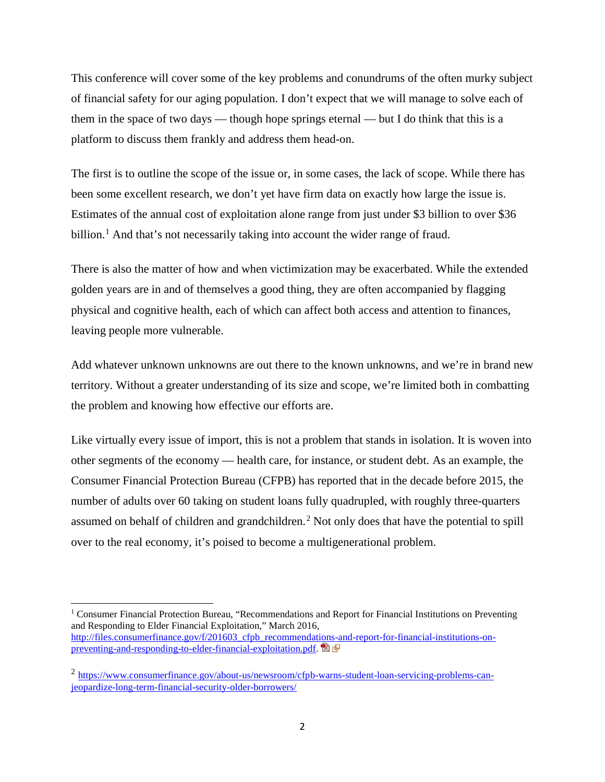This conference will cover some of the key problems and conundrums of the often murky subject of financial safety for our aging population. I don't expect that we will manage to solve each of them in the space of two days — though hope springs eternal — but I do think that this is a platform to discuss them frankly and address them head-on.

The first is to outline the scope of the issue or, in some cases, the lack of scope. While there has been some excellent research, we don't yet have firm data on exactly how large the issue is. Estimates of the annual cost of exploitation alone range from just under \$3 billion to over \$36 billion.<sup>[1](#page-2-0)</sup> And that's not necessarily taking into account the wider range of fraud.

There is also the matter of how and when victimization may be exacerbated. While the extended golden years are in and of themselves a good thing, they are often accompanied by flagging physical and cognitive health, each of which can affect both access and attention to finances, leaving people more vulnerable.

Add whatever unknown unknowns are out there to the known unknowns, and we're in brand new territory. Without a greater understanding of its size and scope, we're limited both in combatting the problem and knowing how effective our efforts are.

Like virtually every issue of import, this is not a problem that stands in isolation. It is woven into other segments of the economy — health care, for instance, or student debt. As an example, the Consumer Financial Protection Bureau (CFPB) has reported that in the decade before 2015, the number of adults over 60 taking on student loans fully quadrupled, with roughly three-quarters assumed on behalf of children and grandchildren.<sup>[2](#page-2-1)</sup> Not only does that have the potential to spill over to the real economy, it's poised to become a multigenerational problem.

 $\overline{\phantom{a}}$ 

<span id="page-2-0"></span><sup>&</sup>lt;sup>1</sup> Consumer Financial Protection Bureau, "Recommendations and Report for Financial Institutions on Preventing and Responding to Elder Financial Exploitation," March 2016, [http://files.consumerfinance.gov/f/201603\\_cfpb\\_recommendations-and-report-for-financial-institutions-on](http://files.consumerfinance.gov/f/201603_cfpb_recommendations-and-report-for-financial-institutions-on-preventing-and-responding-to-elder-financial-exploitation.pdf)[preventing-and-responding-to-elder-financial-exploitation.pdf.](http://files.consumerfinance.gov/f/201603_cfpb_recommendations-and-report-for-financial-institutions-on-preventing-and-responding-to-elder-financial-exploitation.pdf) 图 图

<span id="page-2-1"></span><sup>2</sup> [https://www.consumerfinance.gov/about-us/newsroom/cfpb-warns-student-loan-servicing-problems-can](https://www.consumerfinance.gov/about-us/newsroom/cfpb-warns-student-loan-servicing-problems-can-jeopardize-long-term-financial-security-older-borrowers/)[jeopardize-long-term-financial-security-older-borrowers/](https://www.consumerfinance.gov/about-us/newsroom/cfpb-warns-student-loan-servicing-problems-can-jeopardize-long-term-financial-security-older-borrowers/)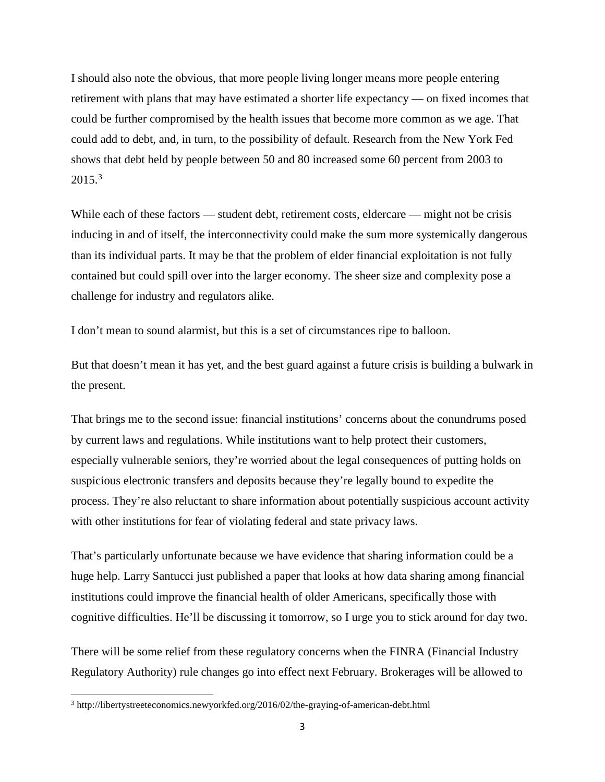I should also note the obvious, that more people living longer means more people entering retirement with plans that may have estimated a shorter life expectancy — on fixed incomes that could be further compromised by the health issues that become more common as we age. That could add to debt, and, in turn, to the possibility of default. Research from the New York Fed shows that debt held by people between 50 and 80 increased some 60 percent from 2003 to  $2015.<sup>3</sup>$  $2015.<sup>3</sup>$  $2015.<sup>3</sup>$ 

While each of these factors — student debt, retirement costs, eldercare — might not be crisis inducing in and of itself, the interconnectivity could make the sum more systemically dangerous than its individual parts. It may be that the problem of elder financial exploitation is not fully contained but could spill over into the larger economy. The sheer size and complexity pose a challenge for industry and regulators alike.

I don't mean to sound alarmist, but this is a set of circumstances ripe to balloon.

But that doesn't mean it has yet, and the best guard against a future crisis is building a bulwark in the present.

That brings me to the second issue: financial institutions' concerns about the conundrums posed by current laws and regulations. While institutions want to help protect their customers, especially vulnerable seniors, they're worried about the legal consequences of putting holds on suspicious electronic transfers and deposits because they're legally bound to expedite the process. They're also reluctant to share information about potentially suspicious account activity with other institutions for fear of violating federal and state privacy laws.

That's particularly unfortunate because we have evidence that sharing information could be a huge help. Larry Santucci just published a paper that looks at how data sharing among financial institutions could improve the financial health of older Americans, specifically those with cognitive difficulties. He'll be discussing it tomorrow, so I urge you to stick around for day two.

There will be some relief from these regulatory concerns when the FINRA (Financial Industry Regulatory Authority) rule changes go into effect next February. Brokerages will be allowed to

l

<span id="page-3-0"></span><sup>3</sup> http://libertystreeteconomics.newyorkfed.org/2016/02/the-graying-of-american-debt.html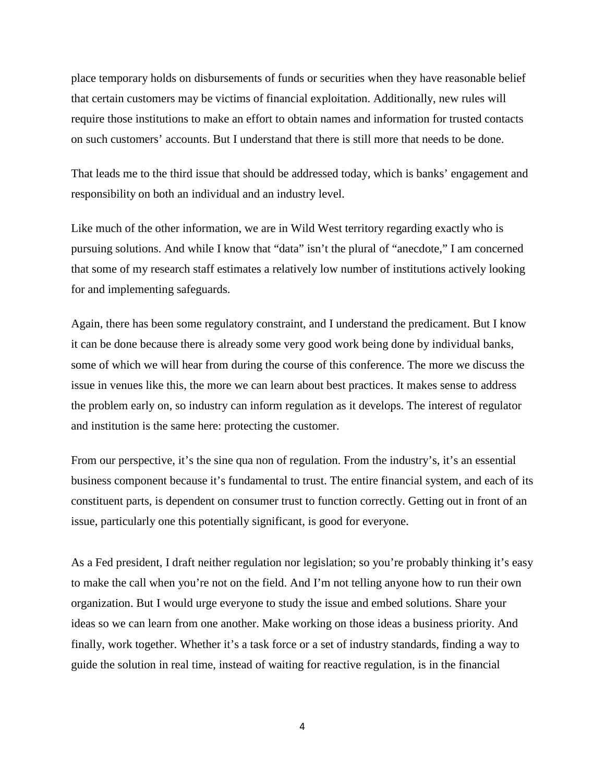place temporary holds on disbursements of funds or securities when they have reasonable belief that certain customers may be victims of financial exploitation. Additionally, new rules will require those institutions to make an effort to obtain names and information for trusted contacts on such customers' accounts. But I understand that there is still more that needs to be done.

That leads me to the third issue that should be addressed today, which is banks' engagement and responsibility on both an individual and an industry level.

Like much of the other information, we are in Wild West territory regarding exactly who is pursuing solutions. And while I know that "data" isn't the plural of "anecdote," I am concerned that some of my research staff estimates a relatively low number of institutions actively looking for and implementing safeguards.

Again, there has been some regulatory constraint, and I understand the predicament. But I know it can be done because there is already some very good work being done by individual banks, some of which we will hear from during the course of this conference. The more we discuss the issue in venues like this, the more we can learn about best practices. It makes sense to address the problem early on, so industry can inform regulation as it develops. The interest of regulator and institution is the same here: protecting the customer.

From our perspective, it's the sine qua non of regulation. From the industry's, it's an essential business component because it's fundamental to trust. The entire financial system, and each of its constituent parts, is dependent on consumer trust to function correctly. Getting out in front of an issue, particularly one this potentially significant, is good for everyone.

As a Fed president, I draft neither regulation nor legislation; so you're probably thinking it's easy to make the call when you're not on the field. And I'm not telling anyone how to run their own organization. But I would urge everyone to study the issue and embed solutions. Share your ideas so we can learn from one another. Make working on those ideas a business priority. And finally, work together. Whether it's a task force or a set of industry standards, finding a way to guide the solution in real time, instead of waiting for reactive regulation, is in the financial